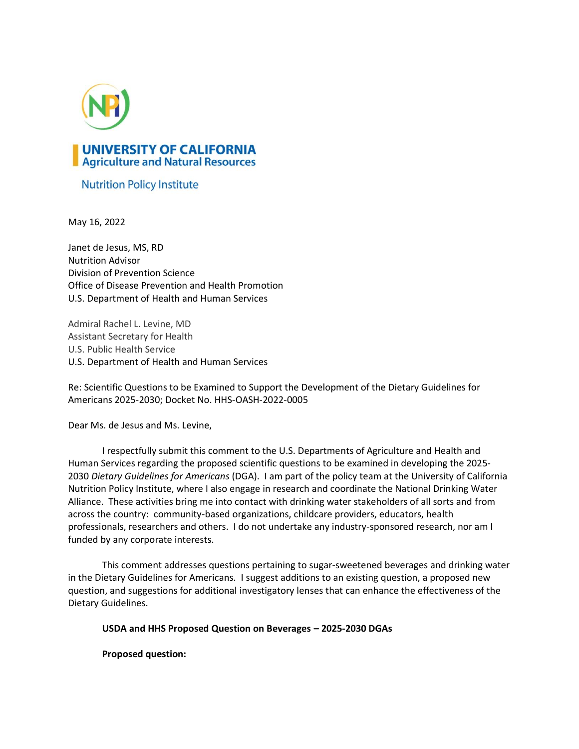

## **Nutrition Policy Institute**

May 16, 2022

Janet de Jesus, MS, RD Nutrition Advisor Division of Prevention Science Office of Disease Prevention and Health Promotion U.S. Department of Health and Human Services

Admiral Rachel L. Levine, MD Assistant Secretary for Health U.S. Public Health Service U.S. Department of Health and Human Services

Re: Scientific Questions to be Examined to Support the Development of the Dietary Guidelines for Americans 2025-2030; Docket No. HHS-OASH-2022-0005

Dear Ms. de Jesus and Ms. Levine,

I respectfully submit this comment to the U.S. Departments of Agriculture and Health and Human Services regarding the proposed scientific questions to be examined in developing the 2025- 2030 *Dietary Guidelines for Americans* (DGA). I am part of the policy team at the University of California Nutrition Policy Institute, where I also engage in research and coordinate the National Drinking Water Alliance. These activities bring me into contact with drinking water stakeholders of all sorts and from across the country: community-based organizations, childcare providers, educators, health professionals, researchers and others. I do not undertake any industry-sponsored research, nor am I funded by any corporate interests.

This comment addresses questions pertaining to sugar-sweetened beverages and drinking water in the Dietary Guidelines for Americans. I suggest additions to an existing question, a proposed new question, and suggestions for additional investigatory lenses that can enhance the effectiveness of the Dietary Guidelines.

**USDA and HHS Proposed Question on Beverages – 2025-2030 DGAs**

**Proposed question:**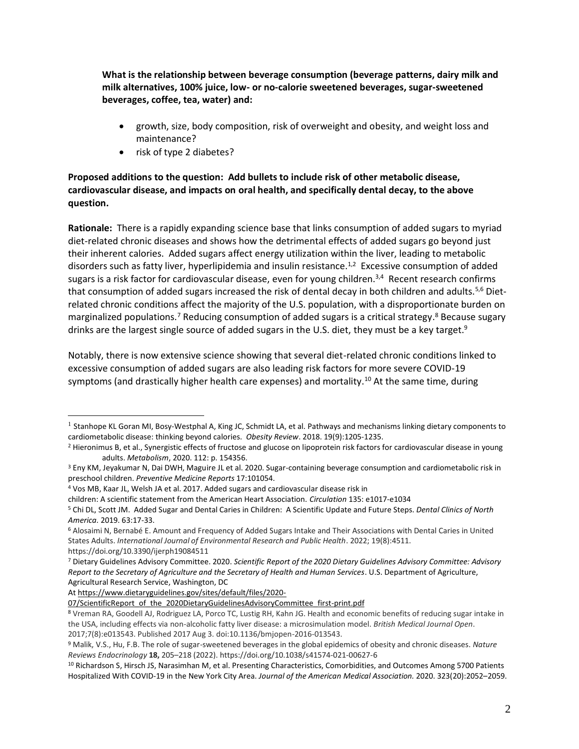**What is the relationship between beverage consumption (beverage patterns, dairy milk and milk alternatives, 100% juice, low- or no-calorie sweetened beverages, sugar-sweetened beverages, coffee, tea, water) and:**

- growth, size, body composition, risk of overweight and obesity, and weight loss and maintenance?
- risk of type 2 diabetes?

## **Proposed additions to the question: Add bullets to include risk of other metabolic disease, cardiovascular disease, and impacts on oral health, and specifically dental decay, to the above question.**

**Rationale:** There is a rapidly expanding science base that links consumption of added sugars to myriad diet-related chronic diseases and shows how the detrimental effects of added sugars go beyond just their inherent calories. Added sugars affect energy utilization within the liver, leading to metabolic disorders such as fatty liver, hyperlipidemia and insulin resistance.<sup>1,2</sup> Excessive consumption of added sugars is a risk factor for cardiovascular disease, even for young children. $3,4$  Recent research confirms that consumption of added sugars increased the risk of dental decay in both children and adults.<sup>5,6</sup> Dietrelated chronic conditions affect the majority of the U.S. population, with a disproportionate burden on marginalized populations.<sup>7</sup> Reducing consumption of added sugars is a critical strategy.<sup>8</sup> Because sugary drinks are the largest single source of added sugars in the U.S. diet, they must be a key target.<sup>9</sup>

Notably, there is now extensive science showing that several diet-related chronic conditions linked to excessive consumption of added sugars are also leading risk factors for more severe COVID-19 symptoms (and drastically higher health care expenses) and mortality. <sup>10</sup> At the same time, during

A[t https://www.dietaryguidelines.gov/sites/default/files/2020-](https://www.dietaryguidelines.gov/sites/default/files/2020-07/ScientificReport_of_the_2020DietaryGuidelinesAdvisoryCommittee_first-print.pdf)

<sup>&</sup>lt;sup>1</sup> Stanhope KL Goran MI, Bosy-Westphal A, King JC, Schmidt LA, et al. Pathways and mechanisms linking dietary components to cardiometabolic disease: thinking beyond calories. *Obesity Review*. 2018. 19(9):1205-1235.

<sup>&</sup>lt;sup>2</sup> Hieronimus B, et al., Synergistic effects of fructose and glucose on lipoprotein risk factors for cardiovascular disease in young adults. *Metabolism*, 2020. 112: p. 154356.

<sup>&</sup>lt;sup>3</sup> Eny KM, Jeyakumar N, Dai DWH, Maguire JL et al. 2020. Sugar-containing beverage consumption and cardiometabolic risk in preschool children. *Preventive Medicine Reports* 17:101054.

<sup>4</sup> Vos MB, Kaar JL, Welsh JA et al. 2017. Added sugars and cardiovascular disease risk in

children: A scientific statement from the American Heart Association. *Circulation* 135: e1017-e1034

<sup>5</sup> Chi DL, Scott JM. Added Sugar and Dental Caries in Children: A Scientific Update and Future Steps. *Dental Clinics of North America.* 2019. 63:17-33.

<sup>6</sup> Alosaimi N, Bernabé E. Amount and Frequency of Added Sugars Intake and Their Associations with Dental Caries in United States Adults. *International Journal of Environmental Research and Public Health*. 2022; 19(8):4511. https://doi.org/10.3390/ijerph19084511

<sup>7</sup> Dietary Guidelines Advisory Committee. 2020. *Scientific Report of the 2020 Dietary Guidelines Advisory Committee: Advisory Report to the Secretary of Agriculture and the Secretary of Health and Human Services*. U.S. Department of Agriculture, Agricultural Research Service, Washington, DC

[<sup>07/</sup>ScientificReport\\_of\\_the\\_2020DietaryGuidelinesAdvisoryCommittee\\_first-print.pdf](https://www.dietaryguidelines.gov/sites/default/files/2020-07/ScientificReport_of_the_2020DietaryGuidelinesAdvisoryCommittee_first-print.pdf)

<sup>8</sup> Vreman RA, Goodell AJ, Rodriguez LA, Porco TC, Lustig RH, Kahn JG. Health and economic benefits of reducing sugar intake in the USA, including effects via non-alcoholic fatty liver disease: a microsimulation model. *British Medical Journal Open*. 2017;7(8):e013543. Published 2017 Aug 3. doi:10.1136/bmjopen-2016-013543.

<sup>9</sup> Malik, V.S., Hu, F.B. The role of sugar-sweetened beverages in the global epidemics of obesity and chronic diseases. *Nature Reviews Endocrinology* **18,** 205–218 (2022). https://doi.org/10.1038/s41574-021-00627-6

<sup>10</sup> Richardson S, Hirsch JS, Narasimhan M, et al. Presenting Characteristics, Comorbidities, and Outcomes Among 5700 Patients Hospitalized With COVID-19 in the New York City Area. *Journal of the American Medical Association.* 2020. 323(20):2052–2059.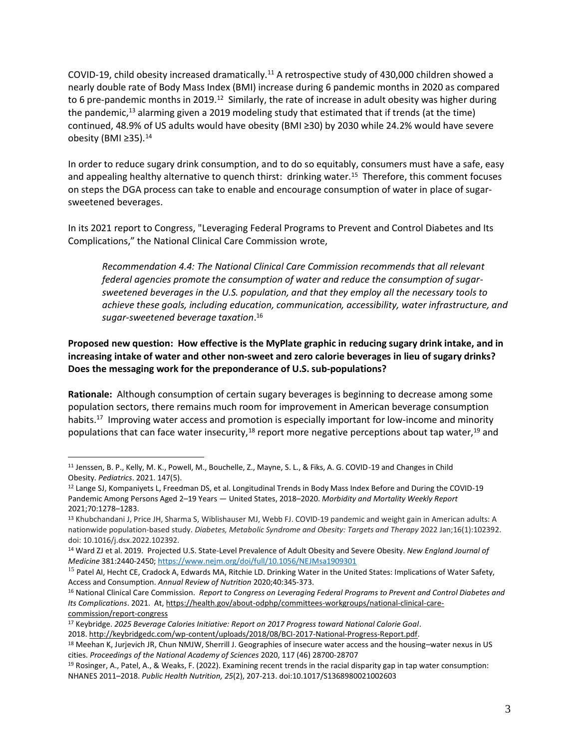COVID-19, child obesity increased dramatically.<sup>11</sup> A retrospective study of 430,000 children showed a nearly double rate of Body Mass Index (BMI) increase during 6 pandemic months in 2020 as compared to 6 pre-pandemic months in 2019.<sup>12</sup> Similarly, the rate of increase in adult obesity was higher during the pandemic,<sup>13</sup> alarming given a 2019 modeling study that estimated that if trends (at the time) continued, 48.9% of US adults would have obesity (BMI ≥30) by 2030 while 24.2% would have severe obesity (BMI ≥35).<sup>14</sup>

In order to reduce sugary drink consumption, and to do so equitably, consumers must have a safe, easy and appealing healthy alternative to quench thirst: drinking water.<sup>15</sup> Therefore, this comment focuses on steps the DGA process can take to enable and encourage consumption of water in place of sugarsweetened beverages.

In its 2021 report to Congress, "Leveraging Federal Programs to Prevent and Control Diabetes and Its Complications," the National Clinical Care Commission wrote,

*Recommendation 4.4: The National Clinical Care Commission recommends that all relevant federal agencies promote the consumption of water and reduce the consumption of sugarsweetened beverages in the U.S. population, and that they employ all the necessary tools to achieve these goals, including education, communication, accessibility, water infrastructure, and sugar-sweetened beverage taxation*. 16

## **Proposed new question: How effective is the MyPlate graphic in reducing sugary drink intake, and in increasing intake of water and other non-sweet and zero calorie beverages in lieu of sugary drinks? Does the messaging work for the preponderance of U.S. sub-populations?**

**Rationale:** Although consumption of certain sugary beverages is beginning to decrease among some population sectors, there remains much room for improvement in American beverage consumption habits.<sup>17</sup> Improving water access and promotion is especially important for low-income and minority populations that can face water insecurity,<sup>18</sup> report more negative perceptions about tap water,<sup>19</sup> and

<sup>11</sup> Jenssen, B. P., Kelly, M. K., Powell, M., Bouchelle, Z., Mayne, S. L., & Fiks, A. G. COVID-19 and Changes in Child Obesity. *Pediatrics*. 2021. 147(5).

<sup>12</sup> Lange SJ, Kompaniyets L, Freedman DS, et al. Longitudinal Trends in Body Mass Index Before and During the COVID-19 Pandemic Among Persons Aged 2–19 Years — United States, 2018–2020. *Morbidity and Mortality Weekly Report* 2021;70:1278–1283.

<sup>13</sup> Khubchandani J, Price JH, Sharma S, Wiblishauser MJ, Webb FJ. COVID-19 pandemic and weight gain in American adults: A nationwide population-based study. *Diabetes, Metabolic Syndrome and Obesity: Targets and Therapy* 2022 Jan;16(1):102392. doi: 10.1016/j.dsx.2022.102392.

<sup>14</sup> Ward ZJ et al. 2019. Projected U.S. State-Level Prevalence of Adult Obesity and Severe Obesity. *New England Journal of Medicine* 381:2440-2450;<https://www.nejm.org/doi/full/10.1056/NEJMsa1909301>

<sup>&</sup>lt;sup>15</sup> Patel AI, Hecht CE, Cradock A, Edwards MA, Ritchie LD. Drinking Water in the United States: Implications of Water Safety, Access and Consumption. *Annual Review of Nutrition* 2020;40:345-373.

<sup>16</sup> National Clinical Care Commission. *Report to Congress on Leveraging Federal Programs to Prevent and Control Diabetes and Its Complications*. 2021. At[, https://health.gov/about-odphp/committees-workgroups/national-clinical-care](https://health.gov/about-odphp/committees-workgroups/national-clinical-care-commission/report-congress)[commission/report-congress](https://health.gov/about-odphp/committees-workgroups/national-clinical-care-commission/report-congress) 

<sup>17</sup> Keybridge. *2025 Beverage Calories Initiative: Report on 2017 Progress toward National Calorie Goal*. 2018. [http://keybridgedc.com/wp-content/uploads/2018/08/BCI-2017-National-Progress-Report.pdf.](http://keybridgedc.com/wp-content/uploads/2018/08/BCI-2017-National-Progress-Report.pdf)

<sup>18</sup> Meehan K, Jurjevich JR, Chun NMJW, Sherrill J. Geographies of insecure water access and the housing–water nexus in US cities. *Proceedings of the National Academy of Sciences* 2020, 117 (46) 28700-28707

<sup>19</sup> Rosinger, A., Patel, A., & Weaks, F. (2022). Examining recent trends in the racial disparity gap in tap water consumption: NHANES 2011–2018. *Public Health Nutrition, 25*(2), 207-213. doi:10.1017/S1368980021002603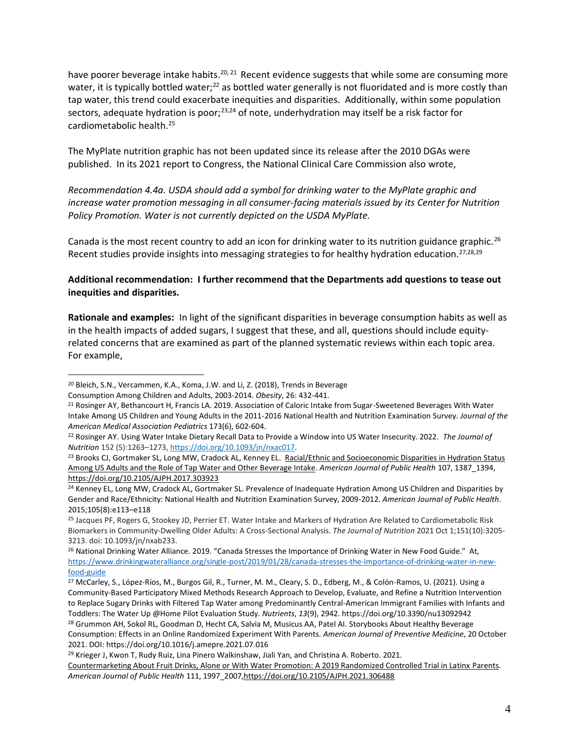have poorer beverage intake habits.<sup>20, 21</sup> Recent evidence suggests that while some are consuming more water, it is typically bottled water;<sup>22</sup> as bottled water generally is not fluoridated and is more costly than tap water, this trend could exacerbate inequities and disparities. Additionally, within some population sectors, adequate hydration is poor;<sup>23,24</sup> of note, underhydration may itself be a risk factor for cardiometabolic health. 25

The MyPlate nutrition graphic has not been updated since its release after the 2010 DGAs were published. In its 2021 report to Congress, the National Clinical Care Commission also wrote,

*Recommendation 4.4a. USDA should add a symbol for drinking water to the MyPlate graphic and increase water promotion messaging in all consumer-facing materials issued by its Center for Nutrition Policy Promotion. Water is not currently depicted on the USDA MyPlate.* 

Canada is the most recent country to add an icon for drinking water to its nutrition guidance graphic.<sup>26</sup> Recent studies provide insights into messaging strategies to for healthy hydration education.<sup>27,28,29</sup>

**Additional recommendation: I further recommend that the Departments add questions to tease out inequities and disparities.** 

**Rationale and examples:** In light of the significant disparities in beverage consumption habits as well as in the health impacts of added sugars, I suggest that these, and all, questions should include equityrelated concerns that are examined as part of the planned systematic reviews within each topic area. For example,

<sup>20</sup> Bleich, S.N., Vercammen, K.A., Koma, J.W. and Li, Z. (2018), Trends in Beverage

Consumption Among Children and Adults, 2003‐2014. *Obesity*, 26: 432-441.

<sup>21</sup> Rosinger AY, Bethancourt H, Francis LA. 2019. Association of Caloric Intake from Sugar-Sweetened Beverages With Water Intake Among US Children and Young Adults in the 2011-2016 National Health and Nutrition Examination Survey. *Journal of the American Medical Association Pediatrics* 173(6), 602-604.

<sup>22</sup> Rosinger AY. Using Water Intake Dietary Recall Data to Provide a Window into US Water Insecurity. 2022. *The Journal of Nutrition* 152 (5):1263–1273, [https://doi.org/10.1093/jn/nxac017.](https://doi.org/10.1093/jn/nxac017)

<sup>&</sup>lt;sup>23</sup> Brooks CJ, Gortmaker SL, Long MW, Cradock AL, Kenney EL. Racial/Ethnic and Socioeconomic Disparities in Hydration Status [Among US Adults and the Role of Tap Water and Other Beverage Intake.](https://ajph.aphapublications.org/doi/abs/10.2105/AJPH.2017.303923) *American Journal of Public Health* 107, 1387\_1394, <https://doi.org/10.2105/AJPH.2017.303923>

<sup>&</sup>lt;sup>24</sup> Kenney EL, Long MW, Cradock AL, Gortmaker SL. Prevalence of Inadequate Hydration Among US Children and Disparities by Gender and Race/Ethnicity: National Health and Nutrition Examination Survey, 2009-2012. *American Journal of Public Health*. 2015;105(8):e113–e118

<sup>25</sup> Jacques PF, Rogers G, Stookey JD, Perrier ET. Water Intake and Markers of Hydration Are Related to Cardiometabolic Risk Biomarkers in Community-Dwelling Older Adults: A Cross-Sectional Analysis. *The Journal of Nutrition* 2021 Oct 1;151(10):3205- 3213. doi: 10.1093/jn/nxab233.

<sup>&</sup>lt;sup>26</sup> National Drinking Water Alliance. 2019. "Canada Stresses the Importance of Drinking Water in New Food Guide." At, [https://www.drinkingwateralliance.org/single-post/2019/01/28/canada-stresses-the-importance-of-drinking-water-in-new](https://www.drinkingwateralliance.org/single-post/2019/01/28/canada-stresses-the-importance-of-drinking-water-in-new-food-guide)[food-guide](https://www.drinkingwateralliance.org/single-post/2019/01/28/canada-stresses-the-importance-of-drinking-water-in-new-food-guide)

<sup>27</sup> McCarley, S., López-Ríos, M., Burgos Gil, R., Turner, M. M., Cleary, S. D., Edberg, M., & Colón-Ramos, U. (2021). Using a Community-Based Participatory Mixed Methods Research Approach to Develop, Evaluate, and Refine a Nutrition Intervention to Replace Sugary Drinks with Filtered Tap Water among Predominantly Central-American Immigrant Families with Infants and Toddlers: The Water Up @Home Pilot Evaluation Study. *Nutrients*, *13*(9), 2942. https://doi.org/10.3390/nu13092942

<sup>&</sup>lt;sup>28</sup> Grummon AH, Sokol RL, Goodman D, Hecht CA, Salvia M, Musicus AA, Patel AI. Storybooks About Healthy Beverage Consumption: Effects in an Online Randomized Experiment With Parents. *American Journal of Preventive Medicine*, 20 October 2021. DOI: https://doi.org/10.1016/j.amepre.2021.07.016

<sup>29</sup> Krieger J, Kwon T, Rudy Ruiz, Lina Pinero Walkinshaw, Jiali Yan, and Christina A. Roberto. 2021.

[Countermarketing About Fruit Drinks, Alone or With Water Promotion: A 2019 Randomized Controlled Trial in Latinx Parents.](https://ajph.aphapublications.org/doi/abs/10.2105/AJPH.2021.306488)  *American Journal of Public Health* 111, 1997\_2007[,https://doi.org/10.2105/AJPH.2021.306488](https://ajph.aphapublications.org/doi/abs/10.2105/AJPH.2021.306488)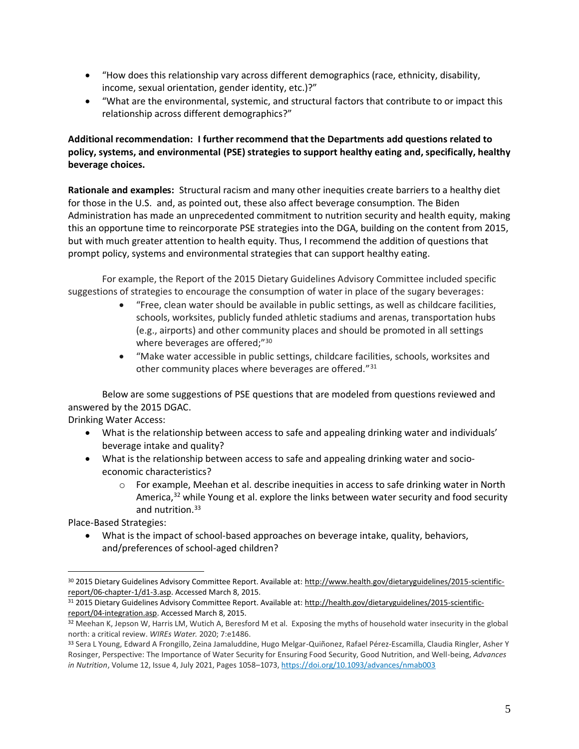- "How does this relationship vary across different demographics (race, ethnicity, disability, income, sexual orientation, gender identity, etc.)?"
- "What are the environmental, systemic, and structural factors that contribute to or impact this relationship across different demographics?"

## **Additional recommendation: I further recommend that the Departments add questions related to policy, systems, and environmental (PSE) strategies to support healthy eating and, specifically, healthy beverage choices.**

**Rationale and examples:** Structural racism and many other inequities create barriers to a healthy diet for those in the U.S. and, as pointed out, these also affect beverage consumption. The Biden Administration has made an unprecedented commitment to nutrition security and health equity, making this an opportune time to reincorporate PSE strategies into the DGA, building on the content from 2015, but with much greater attention to health equity. Thus, I recommend the addition of questions that prompt policy, systems and environmental strategies that can support healthy eating.

For example, the Report of the 2015 Dietary Guidelines Advisory Committee included specific suggestions of strategies to encourage the consumption of water in place of the sugary beverages:

- "Free, clean water should be available in public settings, as well as childcare facilities, schools, worksites, publicly funded athletic stadiums and arenas, transportation hubs (e.g., airports) and other community places and should be promoted in all settings where beverages are offered;"<sup>30</sup>
- "Make water accessible in public settings, childcare facilities, schools, worksites and other community places where beverages are offered."<sup>31</sup>

Below are some suggestions of PSE questions that are modeled from questions reviewed and answered by the 2015 DGAC.

Drinking Water Access:

- What is the relationship between access to safe and appealing drinking water and individuals' beverage intake and quality?
- What is the relationship between access to safe and appealing drinking water and socioeconomic characteristics?
	- $\circ$  For example, Meehan et al. describe inequities in access to safe drinking water in North America,<sup>32</sup> while Young et al. explore the links between water security and food security and nutrition. 33

Place-Based Strategies:

• What is the impact of school-based approaches on beverage intake, quality, behaviors, and/preferences of school-aged children?

<sup>30 2015</sup> Dietary Guidelines Advisory Committee Report. Available at[: http://www.health.gov/dietaryguidelines/2015-scientific](http://www.health.gov/dietaryguidelines/2015-scientific-report/06-chapter-1/d1-3.asp)[report/06-chapter-1/d1-3.asp.](http://www.health.gov/dietaryguidelines/2015-scientific-report/06-chapter-1/d1-3.asp) Accessed March 8, 2015.

<sup>31 2015</sup> Dietary Guidelines Advisory Committee Report. Available at[: http://health.gov/dietaryguidelines/2015-scientific](http://health.gov/dietaryguidelines/2015-scientific-report/04-integration.asp)[report/04-integration.asp.](http://health.gov/dietaryguidelines/2015-scientific-report/04-integration.asp) Accessed March 8, 2015.

<sup>32</sup> Meehan K, Jepson W, Harris LM, Wutich A, Beresford M et al. Exposing the myths of household water insecurity in the global north: a critical review. *WIREs Water.* 2020; 7:e1486.

<sup>33</sup> Sera L Young, Edward A Frongillo, Zeina Jamaluddine, Hugo Melgar-Quiñonez, Rafael Pérez-Escamilla, Claudia Ringler, Asher Y Rosinger, Perspective: The Importance of Water Security for Ensuring Food Security, Good Nutrition, and Well-being, *Advances in Nutrition*, Volume 12, Issue 4, July 2021, Pages 1058–1073, <https://doi.org/10.1093/advances/nmab003>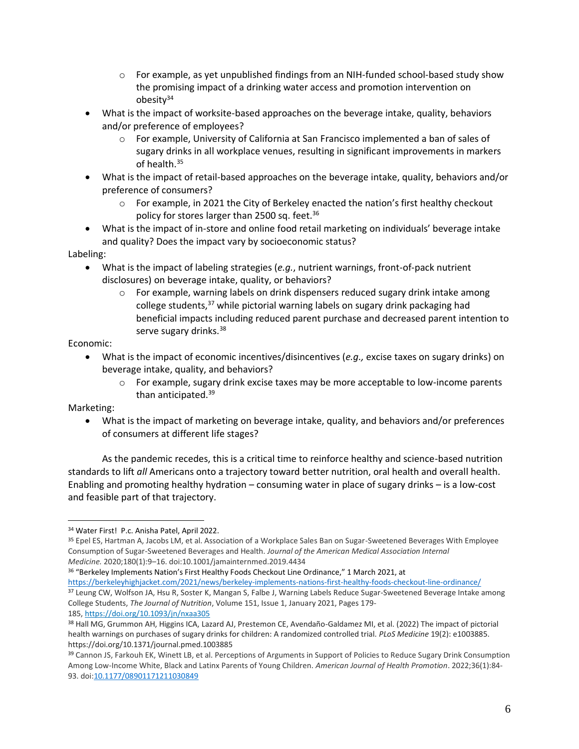- $\circ$  For example, as yet unpublished findings from an NIH-funded school-based study show the promising impact of a drinking water access and promotion intervention on obesity<sup>34</sup>
- What is the impact of worksite-based approaches on the beverage intake, quality, behaviors and/or preference of employees?
	- o For example, University of California at San Francisco implemented a ban of sales of sugary drinks in all workplace venues, resulting in significant improvements in markers of health.<sup>35</sup>
- What is the impact of retail-based approaches on the beverage intake, quality, behaviors and/or preference of consumers?
	- $\circ$  For example, in 2021 the City of Berkeley enacted the nation's first healthy checkout policy for stores larger than 2500 sq. feet.<sup>36</sup>
- What is the impact of in-store and online food retail marketing on individuals' beverage intake and quality? Does the impact vary by socioeconomic status?

Labeling:

- What is the impact of labeling strategies (*e.g.*, nutrient warnings, front-of-pack nutrient disclosures) on beverage intake, quality, or behaviors?
	- $\circ$  For example, warning labels on drink dispensers reduced sugary drink intake among college students,<sup>37</sup> while pictorial warning labels on sugary drink packaging had beneficial impacts including reduced parent purchase and decreased parent intention to serve sugary drinks.<sup>38</sup>

Economic:

- What is the impact of economic incentives/disincentives (*e.g.,* excise taxes on sugary drinks) on beverage intake, quality, and behaviors?
	- $\circ$  For example, sugary drink excise taxes may be more acceptable to low-income parents than anticipated.<sup>39</sup>

Marketing:

• What is the impact of marketing on beverage intake, quality, and behaviors and/or preferences of consumers at different life stages?

As the pandemic recedes, this is a critical time to reinforce healthy and science-based nutrition standards to lift *all* Americans onto a trajectory toward better nutrition, oral health and overall health. Enabling and promoting healthy hydration – consuming water in place of sugary drinks – is a low-cost and feasible part of that trajectory.

<sup>36</sup> "Berkeley Implements Nation's First Healthy Foods Checkout Line Ordinance," 1 March 2021, at <https://berkeleyhighjacket.com/2021/news/berkeley-implements-nations-first-healthy-foods-checkout-line-ordinance/>

<sup>34</sup> Water First! P.c. Anisha Patel, April 2022.

<sup>35</sup> Epel ES, Hartman A, Jacobs LM, et al. Association of a Workplace Sales Ban on Sugar-Sweetened Beverages With Employee Consumption of Sugar-Sweetened Beverages and Health. *Journal of the American Medical Association Internal Medicine.* 2020;180(1):9–16. doi:10.1001/jamainternmed.2019.4434

<sup>37</sup> Leung CW, Wolfson JA, Hsu R, Soster K, Mangan S, Falbe J, Warning Labels Reduce Sugar-Sweetened Beverage Intake among College Students, *The Journal of Nutrition*, Volume 151, Issue 1, January 2021, Pages 179- 185, <https://doi.org/10.1093/jn/nxaa305>

<sup>38</sup> Hall MG, Grummon AH, Higgins ICA, Lazard AJ, Prestemon CE, Avendaño-Galdamez MI, et al. (2022) The impact of pictorial health warnings on purchases of sugary drinks for children: A randomized controlled trial. *PLoS Medicine* 19(2): e1003885. https://doi.org/10.1371/journal.pmed.1003885

<sup>39</sup> Cannon JS, Farkouh EK, Winett LB, et al. Perceptions of Arguments in Support of Policies to Reduce Sugary Drink Consumption Among Low-Income White, Black and Latinx Parents of Young Children. *American Journal of Health Promotion*. 2022;36(1):84- 93. doi[:10.1177/08901171211030849](https://doi.org/10.1177/08901171211030849)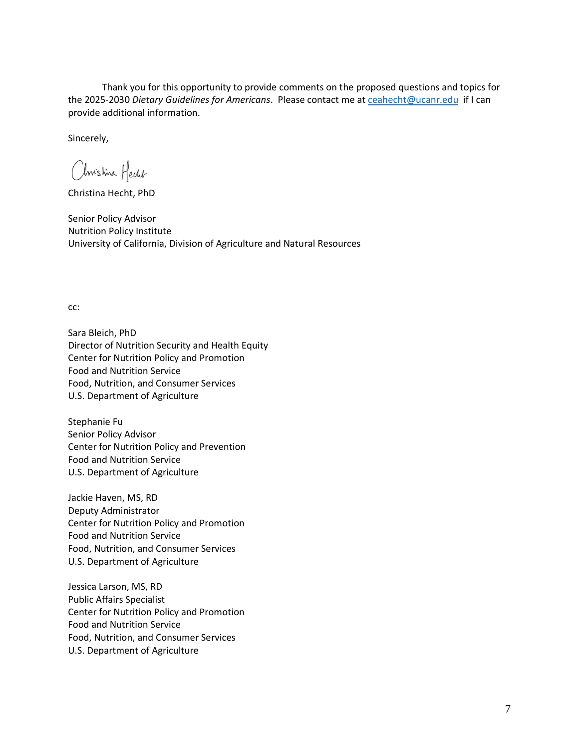Thank you for this opportunity to provide comments on the proposed questions and topics for the 2025-2030 *Dietary Guidelines for Americans*. Please contact me at [ceahecht@ucanr.edu](mailto:ceahecht@ucanr.edu) if I can provide additional information.

Sincerely,

Christina Hecht

Christina Hecht, PhD

Senior Policy Advisor Nutrition Policy Institute University of California, Division of Agriculture and Natural Resources

cc:

Sara Bleich, PhD Director of Nutrition Security and Health Equity Center for Nutrition Policy and Promotion Food and Nutrition Service Food, Nutrition, and Consumer Services U.S. Department of Agriculture

Stephanie Fu Senior Policy Advisor Center for Nutrition Policy and Prevention Food and Nutrition Service U.S. Department of Agriculture

Jackie Haven, MS, RD Deputy Administrator Center for Nutrition Policy and Promotion Food and Nutrition Service Food, Nutrition, and Consumer Services U.S. Department of Agriculture

Jessica Larson, MS, RD Public Affairs Specialist Center for Nutrition Policy and Promotion Food and Nutrition Service Food, Nutrition, and Consumer Services U.S. Department of Agriculture